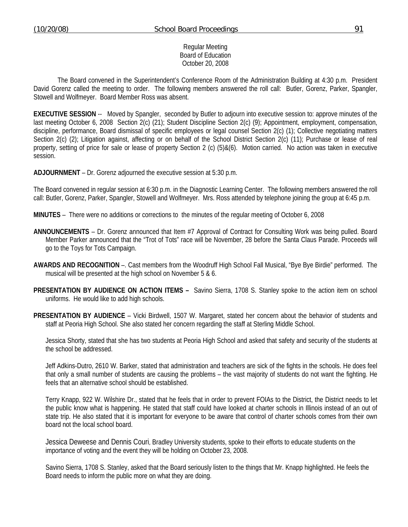#### Regular Meeting Board of Education October 20, 2008

 The Board convened in the Superintendent's Conference Room of the Administration Building at 4:30 p.m. President David Gorenz called the meeting to order. The following members answered the roll call: Butler, Gorenz, Parker, Spangler, Stowell and Wolfmeyer. Board Member Ross was absent.

**EXECUTIVE SESSION** -- Moved by Spangler, seconded by Butler to adjourn into executive session to: approve minutes of the last meeting October 6, 2008 Section 2(c) (21); Student Discipline Section 2(c) (9); Appointment, employment, compensation, discipline, performance, Board dismissal of specific employees or legal counsel Section 2(c) (1); Collective negotiating matters Section 2(c) (2); Litigation against, affecting or on behalf of the School District Section 2(c) (11); Purchase or lease of real property, setting of price for sale or lease of property Section 2 (c) (5)&(6). Motion carried. No action was taken in executive session.

**ADJOURNMENT** – Dr. Gorenz adjourned the executive session at 5:30 p.m.

The Board convened in regular session at 6:30 p.m. in the Diagnostic Learning Center. The following members answered the roll call: Butler, Gorenz, Parker, Spangler, Stowell and Wolfmeyer. Mrs. Ross attended by telephone joining the group at 6:45 p.m.

**MINUTES** – There were no additions or corrections to the minutes of the regular meeting of October 6, 2008

- **ANNOUNCEMENTS** Dr. Gorenz announced that Item #7 Approval of Contract for Consulting Work was being pulled. Board Member Parker announced that the "Trot of Tots" race will be November, 28 before the Santa Claus Parade. Proceeds will go to the Toys for Tots Campaign.
- **AWARDS AND RECOGNITION** –. Cast members from the Woodruff High School Fall Musical, "Bye Bye Birdie" performed. The musical will be presented at the high school on November 5 & 6.
- **PRESENTATION BY AUDIENCE ON ACTION ITEMS** Savino Sierra, 1708 S. Stanley spoke to the action item on school uniforms. He would like to add high schools.
- **PRESENTATION BY AUDIENCE** Vicki Birdwell, 1507 W. Margaret, stated her concern about the behavior of students and staff at Peoria High School. She also stated her concern regarding the staff at Sterling Middle School.

 Jessica Shorty, stated that she has two students at Peoria High School and asked that safety and security of the students at the school be addressed.

 Jeff Adkins-Dutro, 2610 W. Barker, stated that administration and teachers are sick of the fights in the schools. He does feel that only a small number of students are causing the problems – the vast majority of students do not want the fighting. He feels that an alternative school should be established.

 Terry Knapp, 922 W. Wilshire Dr., stated that he feels that in order to prevent FOIAs to the District, the District needs to let the public know what is happening. He stated that staff could have looked at charter schools in Illinois instead of an out of state trip. He also stated that it is important for everyone to be aware that control of charter schools comes from their own board not the local school board.

Jessica Deweese and Dennis Couri, Bradley University students, spoke to their efforts to educate students on the importance of voting and the event they will be holding on October 23, 2008.

Savino Sierra, 1708 S. Stanley, asked that the Board seriously listen to the things that Mr. Knapp highlighted. He feels the Board needs to inform the public more on what they are doing.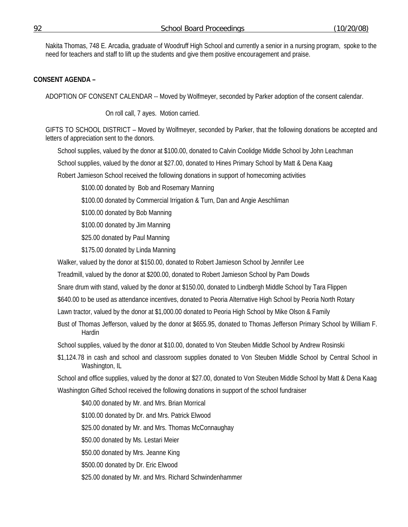Nakita Thomas, 748 E. Arcadia, graduate of Woodruff High School and currently a senior in a nursing program, spoke to the need for teachers and staff to lift up the students and give them positive encouragement and praise.

## **CONSENT AGENDA –**

ADOPTION OF CONSENT CALENDAR -- Moved by Wolfmeyer, seconded by Parker adoption of the consent calendar.

On roll call, 7 ayes. Motion carried.

GIFTS TO SCHOOL DISTRICT – Moved by Wolfmeyer, seconded by Parker, that the following donations be accepted and letters of appreciation sent to the donors.

School supplies, valued by the donor at \$100.00, donated to Calvin Coolidge Middle School by John Leachman

School supplies, valued by the donor at \$27.00, donated to Hines Primary School by Matt & Dena Kaag

Robert Jamieson School received the following donations in support of homecoming activities

\$100.00 donated by Bob and Rosemary Manning

\$100.00 donated by Commercial Irrigation & Turn, Dan and Angie Aeschliman

\$100.00 donated by Bob Manning

\$100.00 donated by Jim Manning

\$25.00 donated by Paul Manning

\$175.00 donated by Linda Manning

Walker, valued by the donor at \$150.00, donated to Robert Jamieson School by Jennifer Lee

Treadmill, valued by the donor at \$200.00, donated to Robert Jamieson School by Pam Dowds

Snare drum with stand, valued by the donor at \$150.00, donated to Lindbergh Middle School by Tara Flippen

\$640.00 to be used as attendance incentives, donated to Peoria Alternative High School by Peoria North Rotary

Lawn tractor, valued by the donor at \$1,000.00 donated to Peoria High School by Mike Olson & Family

Bust of Thomas Jefferson, valued by the donor at \$655.95, donated to Thomas Jefferson Primary School by William F. Hardin

School supplies, valued by the donor at \$10.00, donated to Von Steuben Middle School by Andrew Rosinski

\$1,124.78 in cash and school and classroom supplies donated to Von Steuben Middle School by Central School in Washington, IL

School and office supplies, valued by the donor at \$27.00, donated to Von Steuben Middle School by Matt & Dena Kaag

Washington Gifted School received the following donations in support of the school fundraiser

\$40.00 donated by Mr. and Mrs. Brian Morrical

\$100.00 donated by Dr. and Mrs. Patrick Elwood

\$25.00 donated by Mr. and Mrs. Thomas McConnaughay

\$50.00 donated by Ms. Lestari Meier

\$50.00 donated by Mrs. Jeanne King

\$500.00 donated by Dr. Eric Elwood

\$25.00 donated by Mr. and Mrs. Richard Schwindenhammer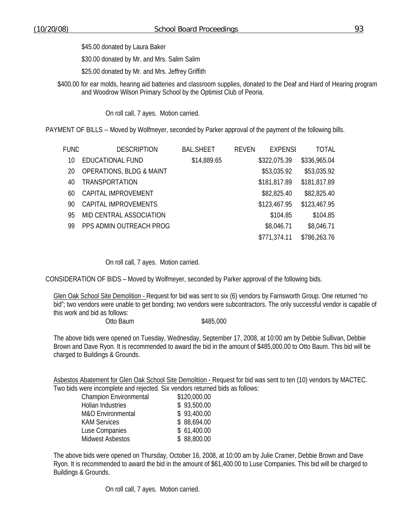\$30.00 donated by Mr. and Mrs. Salim Salim

\$25.00 donated by Mr. and Mrs. Jeffrey Griffith

\$400.00 for ear molds, hearing aid batteries and classroom supplies, donated to the Deaf and Hard of Hearing program and Woodrow Wilson Primary School by the Optimist Club of Peoria.

On roll call, 7 ayes. Motion carried.

PAYMENT OF BILLS -- Moved by Wolfmeyer, seconded by Parker approval of the payment of the following bills.

| FUND | <b>DESCRIPTION</b>                  | <b>BAL.SHEET</b> | <b>REVEN</b> | <b>FXPFNSI</b> | TOTAL        |
|------|-------------------------------------|------------------|--------------|----------------|--------------|
| 10   | EDUCATIONAL FUND                    | \$14,889.65      |              | \$322,075.39   | \$336,965.04 |
| 20   | <b>OPERATIONS, BLDG &amp; MAINT</b> |                  |              | \$53,035.92    | \$53,035.92  |
| 40   | <b>TRANSPORTATION</b>               |                  |              | \$181,817.89   | \$181,817.89 |
| 60   | CAPITAL IMPROVEMENT                 |                  |              | \$82,825.40    | \$82,825.40  |
| 90   | CAPITAL IMPROVEMENTS                |                  |              | \$123,467.95   | \$123,467.95 |
| 95   | MID CENTRAL ASSOCIATION             |                  |              | \$104.85       | \$104.85     |
| 99   | PPS ADMIN OUTREACH PROG             |                  |              | \$8,046.71     | \$8,046.71   |
|      |                                     |                  |              | \$771,374.11   | \$786,263.76 |

On roll call, 7 ayes. Motion carried.

CONSIDERATION OF BIDS – Moved by Wolfmeyer, seconded by Parker approval of the following bids.

Glen Oak School Site Demolition - Request for bid was sent to six (6) vendors by Farnsworth Group. One returned "no bid"; two vendors were unable to get bonding; two vendors were subcontractors. The only successful vendor is capable of this work and bid as follows:

Otto Baum \$485,000

The above bids were opened on Tuesday, Wednesday, September 17, 2008, at 10:00 am by Debbie Sullivan, Debbie Brown and Dave Ryon. It is recommended to award the bid in the amount of \$485,000.00 to Otto Baum. This bid will be charged to Buildings & Grounds.

Asbestos Abatement for Glen Oak School Site Demolition - Request for bid was sent to ten (10) vendors by MACTEC. Two bids were incomplete and rejected. Six vendors returned bids as follows:

| <b>Champion Environmental</b> | \$120,000.00 |
|-------------------------------|--------------|
| <b>Holian Industries</b>      | \$93,500.00  |
| <b>M&amp;O</b> Environmental  | \$93,400.00  |
| <b>KAM Services</b>           | \$88,694.00  |
| Luse Companies                | \$61,400.00  |
| <b>Midwest Asbestos</b>       | \$88,800.00  |
|                               |              |

The above bids were opened on Thursday, October 16, 2008, at 10:00 am by Julie Cramer, Debbie Brown and Dave Ryon. It is recommended to award the bid in the amount of \$61,400.00 to Luse Companies. This bid will be charged to Buildings & Grounds.

On roll call, 7 ayes. Motion carried.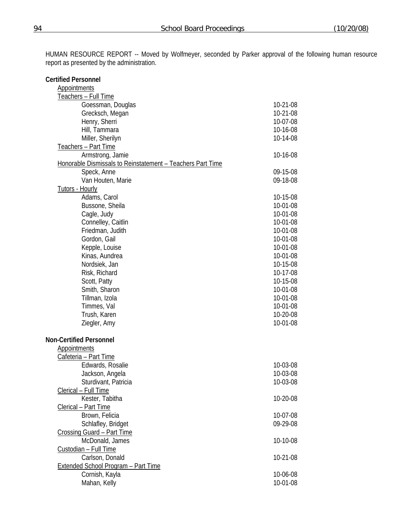| <b>Certified Personnel</b>                                 |                      |
|------------------------------------------------------------|----------------------|
| <b>Appointments</b>                                        |                      |
| Teachers - Full Time                                       |                      |
| Goessman, Douglas                                          | 10-21-08             |
| Grecksch, Megan                                            | 10-21-08             |
| Henry, Sherri                                              | 10-07-08             |
| Hill, Tammara                                              | 10-16-08             |
| Miller, Sherilyn                                           | 10-14-08             |
| Teachers - Part Time                                       |                      |
| Armstrong, Jamie                                           | 10-16-08             |
| Honorable Dismissals to Reinstatement - Teachers Part Time |                      |
| Speck, Anne                                                | 09-15-08             |
| Van Houten, Marie                                          | 09-18-08             |
| <b>Tutors - Hourly</b>                                     |                      |
| Adams, Carol                                               | 10-15-08             |
| Bussone, Sheila                                            | 10-01-08             |
|                                                            | 10-01-08             |
| Cagle, Judy                                                | 10-01-08             |
| Connelley, Caitlin                                         |                      |
| Friedman, Judith                                           | 10-01-08<br>10-01-08 |
| Gordon, Gail                                               |                      |
| Kepple, Louise                                             | 10-01-08             |
| Kinas, Aundrea                                             | 10-01-08             |
| Nordsiek, Jan                                              | 10-15-08             |
| Risk, Richard                                              | 10-17-08             |
| Scott, Patty                                               | 10-15-08             |
| Smith, Sharon                                              | 10-01-08             |
| Tillman, Izola                                             | 10-01-08             |
| Timmes, Val                                                | 10-01-08             |
| Trush, Karen                                               | 10-20-08             |
| Ziegler, Amy                                               | 10-01-08             |
| <b>Non-Certified Personnel</b>                             |                      |
| <b>Appointments</b>                                        |                      |
| Cafeteria - Part Time                                      |                      |
| Edwards, Rosalie                                           | 10-03-08             |
| Jackson, Angela                                            | 10-03-08             |
| Sturdivant, Patricia                                       | 10-03-08             |
| Clerical - Full Time                                       |                      |
| Kester, Tabitha                                            | 10-20-08             |
| Clerical - Part Time                                       |                      |
| Brown, Felicia                                             | 10-07-08             |
| Schlafley, Bridget                                         | 09-29-08             |
| Crossing Guard - Part Time                                 |                      |
| McDonald, James                                            | 10-10-08             |
| Custodian - Full Time                                      |                      |
| Carlson, Donald                                            | 10-21-08             |
| <b>Extended School Program - Part Time</b>                 |                      |
| Cornish, Kayla                                             | 10-06-08             |
| Mahan, Kelly                                               | 10-01-08             |
|                                                            |                      |

HUMAN RESOURCE REPORT -- Moved by Wolfmeyer, seconded by Parker approval of the following human resource report as presented by the administration.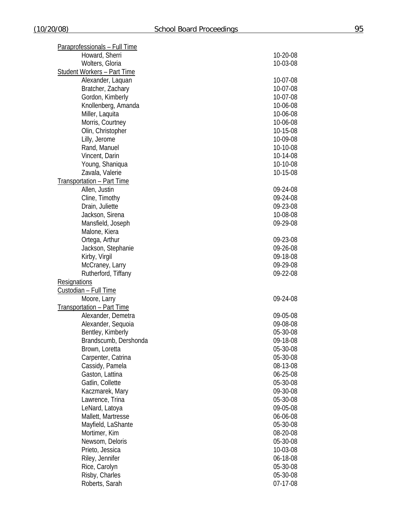| Paraprofessionals - Full Time      |                      |
|------------------------------------|----------------------|
| Howard, Sherri                     | 10-20-08             |
| Wolters, Gloria                    | 10-03-08             |
| <b>Student Workers - Part Time</b> |                      |
| Alexander, Laquan                  | 10-07-08             |
| Bratcher, Zachary                  | 10-07-08             |
| Gordon, Kimberly                   | 10-07-08             |
| Knollenberg, Amanda                | 10-06-08             |
| Miller, Laquita                    | 10-06-08             |
| Morris, Courtney                   | 10-06-08             |
| Olin, Christopher                  | 10-15-08             |
| Lilly, Jerome                      | 10-09-08             |
| Rand, Manuel                       | 10-10-08             |
| Vincent, Darin                     | 10-14-08             |
| Young, Shaniqua                    | 10-10-08             |
| Zavala, Valerie                    | 10-15-08             |
| Transportation - Part Time         |                      |
| Allen, Justin                      | 09-24-08             |
| Cline, Timothy                     | 09-24-08             |
| Drain, Juliette                    | 09-23-08             |
| Jackson, Sirena                    | 10-08-08             |
| Mansfield, Joseph                  | 09-29-08             |
| Malone, Kiera                      |                      |
| Ortega, Arthur                     | 09-23-08             |
| Jackson, Stephanie                 | 09-26-08             |
| Kirby, Virgil                      | 09-18-08             |
| McCraney, Larry                    | 09-29-08             |
| Rutherford, Tiffany                | 09-22-08             |
| Resignations                       |                      |
| Custodian - Full Time              |                      |
| Moore, Larry                       | 09-24-08             |
| <b>Transportation - Part Time</b>  |                      |
| Alexander, Demetra                 | 09-05-08             |
| Alexander, Sequoia                 | 09-08-08             |
| Bentley, Kimberly                  | 05-30-08             |
| Brandscumb, Dershonda              | 09-18-08             |
| Brown, Loretta                     | 05-30-08             |
| Carpenter, Catrina                 | 05-30-08             |
| Cassidy, Pamela                    | 08-13-08             |
| Gaston, Lattina                    | 06-25-08             |
| Gatlin, Collette                   | 05-30-08             |
| Kaczmarek, Mary                    | 09-30-08             |
| Lawrence, Trina                    | 05-30-08             |
| LeNard, Latoya                     | 09-05-08             |
| Mallett, Martresse                 | 06-06-08             |
| Mayfield, LaShante                 | 05-30-08             |
| Mortimer, Kim                      | 08-20-08             |
| Newsom, Deloris                    | 05-30-08             |
| Prieto, Jessica                    | 10-03-08             |
|                                    |                      |
| Riley, Jennifer                    | 06-18-08<br>05-30-08 |
| Rice, Carolyn<br>Risby, Charles    | 05-30-08             |
|                                    |                      |
| Roberts, Sarah                     | 07-17-08             |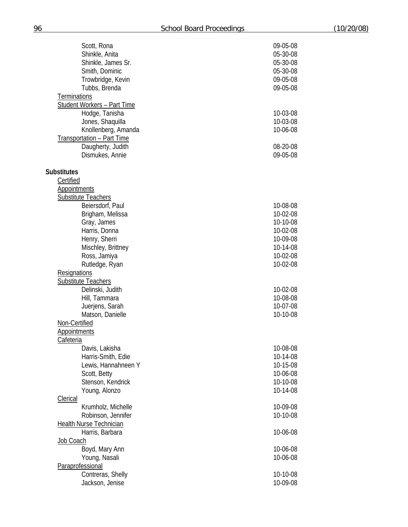| Scott, Rona                        | 09-05-08 |
|------------------------------------|----------|
| Shinkle, Anita                     | 05-30-08 |
| Shinkle, James Sr.                 | 05-30-08 |
| Smith, Dominic                     | 05-30-08 |
| Trowbridge, Kevin                  | 09-05-08 |
| Tubbs, Brenda                      | 09-05-08 |
|                                    |          |
| <b>Terminations</b>                |          |
| <b>Student Workers - Part Time</b> |          |
| Hodge, Tanisha                     | 10-03-08 |
| Jones, Shaquilla                   | 10-03-08 |
| Knollenberg, Amanda                | 10-06-08 |
| Transportation - Part Time         |          |
| Daugherty, Judith                  | 08-20-08 |
| Dismukes, Annie                    | 09-05-08 |
|                                    |          |
| <b>Substitutes</b>                 |          |
| Certified                          |          |
| <b>Appointments</b>                |          |
| <b>Substitute Teachers</b>         |          |
| Beiersdorf, Paul                   | 10-08-08 |
| Brigham, Melissa                   | 10-02-08 |
| Gray, James                        | 10-10-08 |
| Harris, Donna                      | 10-02-08 |
| Henry, Sherri                      | 10-09-08 |
| Mischley, Brittney                 | 10-14-08 |
| Ross, Jamiya                       | 10-02-08 |
| Rutledge, Ryan                     | 10-02-08 |
| <b>Resignations</b>                |          |
| <b>Substitute Teachers</b>         |          |
| Delinski, Judith                   | 10-02-08 |
| Hill, Tammara                      | 10-08-08 |
| Juerjens, Sarah                    | 10-07-08 |
| Matson, Danielle                   | 10-10-08 |
| Non-Certified                      |          |
|                                    |          |
| <b>Appointments</b>                |          |
| <b>Cafeteria</b>                   |          |
| Davis, Lakisha                     | 10-08-08 |
| Harris-Smith, Edie                 | 10-14-08 |
| Lewis, Hannahneen Y                | 10-15-08 |
| Scott, Betty                       | 10-06-08 |
| Stenson, Kendrick                  | 10-10-08 |
| Young, Alonzo                      | 10-14-08 |
| <b>Clerical</b>                    |          |
| Krumholz, Michelle                 | 10-09-08 |
| Robinson, Jennifer                 | 10-10-08 |
| Health Nurse Technician            |          |
| Harris, Barbara                    | 10-06-08 |
| Job Coach                          |          |
| Boyd, Mary Ann                     | 10-06-08 |
| Young, Nasali                      | 10-06-08 |
| Paraprofessional                   |          |
| Contreras, Shelly                  | 10-10-08 |
| Jackson, Jenise                    | 10-09-08 |
|                                    |          |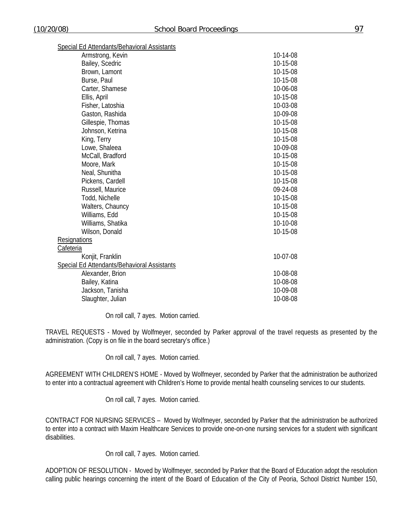| Special Ed Attendants/Behavioral Assistants |          |
|---------------------------------------------|----------|
| Armstrong, Kevin                            | 10-14-08 |
| Bailey, Scedric                             | 10-15-08 |
| Brown, Lamont                               | 10-15-08 |
| Burse, Paul                                 | 10-15-08 |
| Carter, Shamese                             | 10-06-08 |
| Ellis, April                                | 10-15-08 |
| Fisher, Latoshia                            | 10-03-08 |
| Gaston, Rashida                             | 10-09-08 |
| Gillespie, Thomas                           | 10-15-08 |
| Johnson, Ketrina                            | 10-15-08 |
| King, Terry                                 | 10-15-08 |
| Lowe, Shaleea                               | 10-09-08 |
| McCall, Bradford                            | 10-15-08 |
| Moore, Mark                                 | 10-15-08 |
| Neal, Shunitha                              | 10-15-08 |
| Pickens, Cardell                            | 10-15-08 |
| Russell, Maurice                            | 09-24-08 |
| Todd, Nichelle                              | 10-15-08 |
| Walters, Chauncy                            | 10-15-08 |
| Williams, Edd                               | 10-15-08 |
| Williams, Shatika                           | 10-10-08 |
| Wilson, Donald                              | 10-15-08 |
| <b>Resignations</b>                         |          |
| Cafeteria                                   |          |
| Konjit, Franklin                            | 10-07-08 |
| Special Ed Attendants/Behavioral Assistants |          |
| Alexander, Brion                            | 10-08-08 |
| Bailey, Katina                              | 10-08-08 |
| Jackson, Tanisha                            | 10-09-08 |
| Slaughter, Julian                           | 10-08-08 |

On roll call, 7 ayes. Motion carried.

TRAVEL REQUESTS - Moved by Wolfmeyer, seconded by Parker approval of the travel requests as presented by the administration. (Copy is on file in the board secretary's office.)

On roll call, 7 ayes. Motion carried.

AGREEMENT WITH CHILDREN'S HOME - Moved by Wolfmeyer, seconded by Parker that the administration be authorized to enter into a contractual agreement with Children's Home to provide mental health counseling services to our students.

On roll call, 7 ayes. Motion carried.

CONTRACT FOR NURSING SERVICES – Moved by Wolfmeyer, seconded by Parker that the administration be authorized to enter into a contract with Maxim Healthcare Services to provide one-on-one nursing services for a student with significant disabilities.

On roll call, 7 ayes. Motion carried.

ADOPTION OF RESOLUTION - Moved by Wolfmeyer, seconded by Parker that the Board of Education adopt the resolution calling public hearings concerning the intent of the Board of Education of the City of Peoria, School District Number 150,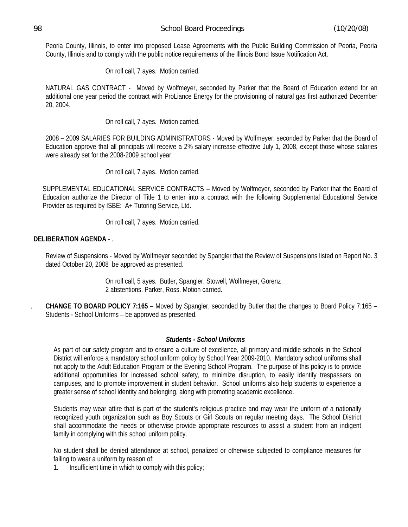Peoria County, Illinois, to enter into proposed Lease Agreements with the Public Building Commission of Peoria, Peoria County, Illinois and to comply with the public notice requirements of the Illinois Bond Issue Notification Act.

On roll call, 7 ayes. Motion carried.

NATURAL GAS CONTRACT - Moved by Wolfmeyer, seconded by Parker that the Board of Education extend for an additional one year period the contract with ProLiance Energy for the provisioning of natural gas first authorized December 20, 2004.

On roll call, 7 ayes. Motion carried.

2008 – 2009 SALARIES FOR BUILDING ADMINISTRATORS - Moved by Wolfmeyer, seconded by Parker that the Board of Education approve that all principals will receive a 2% salary increase effective July 1, 2008, except those whose salaries were already set for the 2008-2009 school year.

On roll call, 7 ayes. Motion carried.

SUPPLEMENTAL EDUCATIONAL SERVICE CONTRACTS – Moved by Wolfmeyer, seconded by Parker that the Board of Education authorize the Director of Title 1 to enter into a contract with the following Supplemental Educational Service Provider as required by ISBE: A+ Tutoring Service, Ltd.

On roll call, 7 ayes. Motion carried.

## **DELIBERATION AGENDA** - .

Review of Suspensions - Moved by Wolfmeyer seconded by Spangler that the Review of Suspensions listed on Report No. 3 dated October 20, 2008 be approved as presented.

> On roll call, 5 ayes. Butler, Spangler, Stowell, Wolfmeyer, Gorenz 2 abstentions. Parker, Ross. Motion carried.

. **CHANGE TO BOARD POLICY 7:165** – Moved by Spangler, seconded by Butler that the changes to Board Policy 7:165 – Students - School Uniforms – be approved as presented.

#### *Students - School Uniforms*

As part of our safety program and to ensure a culture of excellence, all primary and middle schools in the School District will enforce a mandatory school uniform policy by School Year 2009-2010. Mandatory school uniforms shall not apply to the Adult Education Program or the Evening School Program. The purpose of this policy is to provide additional opportunities for increased school safety, to minimize disruption, to easily identify trespassers on campuses, and to promote improvement in student behavior. School uniforms also help students to experience a greater sense of school identity and belonging, along with promoting academic excellence.

Students may wear attire that is part of the student's religious practice and may wear the uniform of a nationally recognized youth organization such as Boy Scouts or Girl Scouts on regular meeting days. The School District shall accommodate the needs or otherwise provide appropriate resources to assist a student from an indigent family in complying with this school uniform policy.

No student shall be denied attendance at school, penalized or otherwise subjected to compliance measures for failing to wear a uniform by reason of:

1. Insufficient time in which to comply with this policy;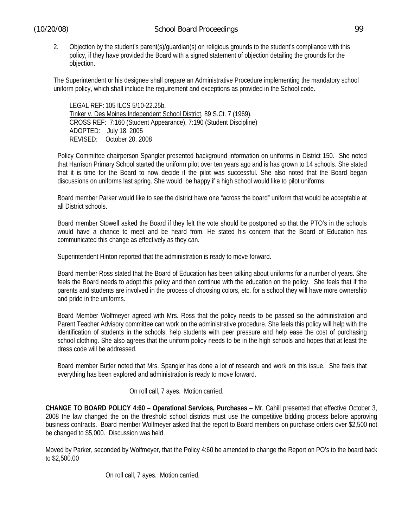2. Objection by the student's parent(s)/guardian(s) on religious grounds to the student's compliance with this policy, if they have provided the Board with a signed statement of objection detailing the grounds for the objection.

The Superintendent or his designee shall prepare an Administrative Procedure implementing the mandatory school uniform policy, which shall include the requirement and exceptions as provided in the School code.

LEGAL REF: 105 ILCS 5/10-22.25b. Tinker v. Des Moines Independent School District, 89 S.Ct. 7 (1969). CROSS REF: 7:160 (Student Appearance), 7:190 (Student Discipline) ADOPTED: July 18, 2005 REVISED: October 20, 2008

Policy Committee chairperson Spangler presented background information on uniforms in District 150. She noted that Harrison Primary School started the uniform pilot over ten years ago and is has grown to 14 schools. She stated that it is time for the Board to now decide if the pilot was successful. She also noted that the Board began discussions on uniforms last spring. She would be happy if a high school would like to pilot uniforms.

Board member Parker would like to see the district have one "across the board" uniform that would be acceptable at all District schools.

Board member Stowell asked the Board if they felt the vote should be postponed so that the PTO's in the schools would have a chance to meet and be heard from. He stated his concern that the Board of Education has communicated this change as effectively as they can.

Superintendent Hinton reported that the administration is ready to move forward.

Board member Ross stated that the Board of Education has been talking about uniforms for a number of years. She feels the Board needs to adopt this policy and then continue with the education on the policy. She feels that if the parents and students are involved in the process of choosing colors, etc. for a school they will have more ownership and pride in the uniforms.

Board Member Wolfmeyer agreed with Mrs. Ross that the policy needs to be passed so the administration and Parent Teacher Advisory committee can work on the administrative procedure. She feels this policy will help with the identification of students in the schools, help students with peer pressure and help ease the cost of purchasing school clothing. She also agrees that the uniform policy needs to be in the high schools and hopes that at least the dress code will be addressed.

Board member Butler noted that Mrs. Spangler has done a lot of research and work on this issue. She feels that everything has been explored and administration is ready to move forward.

On roll call, 7 ayes. Motion carried.

**CHANGE TO BOARD POLICY 4:60 – Operational Services, Purchases** – Mr. Cahill presented that effective October 3, 2008 the law changed the on the threshold school districts must use the competitive bidding process before approving business contracts. Board member Wolfmeyer asked that the report to Board members on purchase orders over \$2,500 not be changed to \$5,000. Discussion was held.

Moved by Parker, seconded by Wolfmeyer, that the Policy 4:60 be amended to change the Report on PO's to the board back to \$2,500.00

On roll call, 7 ayes. Motion carried.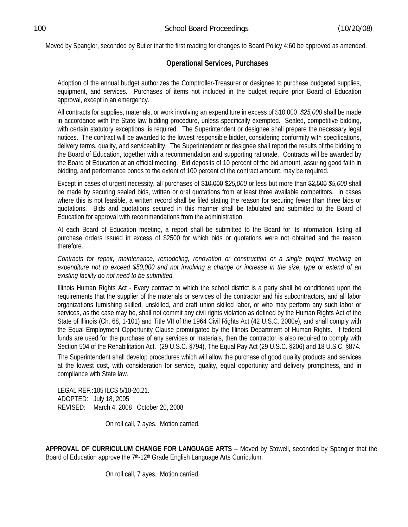Moved by Spangler, seconded by Butler that the first reading for changes to Board Policy 4:60 be approved as amended.

# **Operational Services, Purchases**

Adoption of the annual budget authorizes the Comptroller-Treasurer or designee to purchase budgeted supplies, equipment, and services. Purchases of items not included in the budget require prior Board of Education approval, except in an emergency.

All contracts for supplies, materials, or work involving an expenditure in excess of \$10,000 *\$25,000* shall be made in accordance with the State law bidding procedure, unless specifically exempted. Sealed, competitive bidding, with certain statutory exceptions, is required. The Superintendent or designee shall prepare the necessary legal notices. The contract will be awarded to the lowest responsible bidder, considering conformity with specifications, delivery terms, quality, and serviceability. The Superintendent or designee shall report the results of the bidding to the Board of Education, together with a recommendation and supporting rationale. Contracts will be awarded by the Board of Education at an official meeting. Bid deposits of 10 percent of the bid amount, assuring good faith in bidding, and performance bonds to the extent of 100 percent of the contract amount, may be required.

Except in cases of urgent necessity, all purchases of \$<del>10,000</del> \$25,000 or less but more than \$2,500 *\$5,000* shall be made by securing sealed bids, written or oral quotations from at least three available competitors. In cases where this is not feasible, a written record shall be filed stating the reason for securing fewer than three bids or quotations. Bids and quotations secured in this manner shall be tabulated and submitted to the Board of Education for approval with recommendations from the administration.

At each Board of Education meeting, a report shall be submitted to the Board for its information, listing all purchase orders issued in excess of \$2500 for which bids or quotations were not obtained and the reason therefore.

*Contracts for repair, maintenance, remodeling, renovation or construction or a single project involving an expenditure not to exceed \$50,000 and not involving a change or increase in the size, type or extend of an existing facility do not need to be submitted.* 

Illinois Human Rights Act - Every contract to which the school district is a party shall be conditioned upon the requirements that the supplier of the materials or services of the contractor and his subcontractors, and all labor organizations furnishing skilled, unskilled, and craft union skilled labor, or who may perform any such labor or services, as the case may be, shall not commit any civil rights violation as defined by the Human Rights Act of the State of Illinois (Ch. 68, 1-101) and Title VII of the 1964 Civil Rights Act (42 U.S.C. 2000e), and shall comply with the Equal Employment Opportunity Clause promulgated by the Illinois Department of Human Rights. If federal funds are used for the purchase of any services or materials, then the contractor is also required to comply with Section 504 of the Rehabilitation Act. (29 U.S.C. §794), The Equal Pay Act (29 U.S.C. §206) and 18 U.S.C. §874.

The Superintendent shall develop procedures which will allow the purchase of good quality products and services at the lowest cost, with consideration for service, quality, equal opportunity and delivery promptness, and in compliance with State law.

LEGAL REF.: 105 ILCS 5/10-20.21. ADOPTED: July 18, 2005 REVISED: March 4, 2008 October 20, 2008

On roll call, 7 ayes. Motion carried.

**APPROVAL OF CURRICULUM CHANGE FOR LANGUAGE ARTS** – Moved by Stowell, seconded by Spangler that the Board of Education approve the 7<sup>th</sup>-12<sup>th</sup> Grade English Language Arts Curriculum.

On roll call, 7 ayes. Motion carried.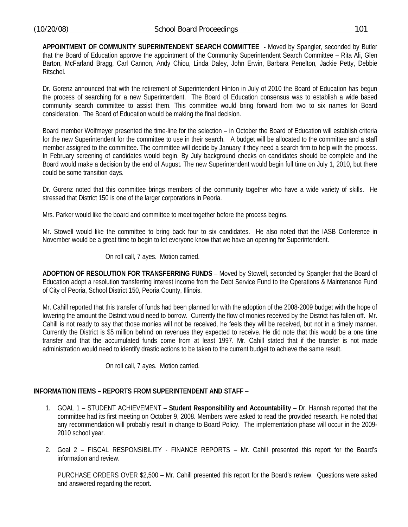**APPOINTMENT OF COMMUNITY SUPERINTENDENT SEARCH COMMITTEE -** Moved by Spangler, seconded by Butler that the Board of Education approve the appointment of the Community Superintendent Search Committee – Rita Ali, Glen Barton, McFarland Bragg, Carl Cannon, Andy Chiou, Linda Daley, John Erwin, Barbara Penelton, Jackie Petty, Debbie Ritschel.

Dr. Gorenz announced that with the retirement of Superintendent Hinton in July of 2010 the Board of Education has begun the process of searching for a new Superintendent. The Board of Education consensus was to establish a wide based community search committee to assist them. This committee would bring forward from two to six names for Board consideration. The Board of Education would be making the final decision.

Board member Wolfmeyer presented the time-line for the selection – in October the Board of Education will establish criteria for the new Superintendent for the committee to use in their search. A budget will be allocated to the committee and a staff member assigned to the committee. The committee will decide by January if they need a search firm to help with the process. In February screening of candidates would begin. By July background checks on candidates should be complete and the Board would make a decision by the end of August. The new Superintendent would begin full time on July 1, 2010, but there could be some transition days.

Dr. Gorenz noted that this committee brings members of the community together who have a wide variety of skills. He stressed that District 150 is one of the larger corporations in Peoria.

Mrs. Parker would like the board and committee to meet together before the process begins.

Mr. Stowell would like the committee to bring back four to six candidates. He also noted that the IASB Conference in November would be a great time to begin to let everyone know that we have an opening for Superintendent.

On roll call, 7 ayes. Motion carried.

**ADOPTION OF RESOLUTION FOR TRANSFERRING FUNDS** – Moved by Stowell, seconded by Spangler that the Board of Education adopt a resolution transferring interest income from the Debt Service Fund to the Operations & Maintenance Fund of City of Peoria, School District 150, Peoria County, Illinois.

Mr. Cahill reported that this transfer of funds had been planned for with the adoption of the 2008-2009 budget with the hope of lowering the amount the District would need to borrow. Currently the flow of monies received by the District has fallen off. Mr. Cahill is not ready to say that those monies will not be received, he feels they will be received, but not in a timely manner. Currently the District is \$5 million behind on revenues they expected to receive. He did note that this would be a one time transfer and that the accumulated funds come from at least 1997. Mr. Cahill stated that if the transfer is not made administration would need to identify drastic actions to be taken to the current budget to achieve the same result.

On roll call, 7 ayes. Motion carried.

## **INFORMATION ITEMS – REPORTS FROM SUPERINTENDENT AND STAFF** –

- 1. GOAL 1 STUDENT ACHIEVEMENT **Student Responsibility and Accountability** Dr. Hannah reported that the committee had its first meeting on October 9, 2008. Members were asked to read the provided research. He noted that any recommendation will probably result in change to Board Policy. The implementation phase will occur in the 2009- 2010 school year.
- 2. Goal 2 FISCAL RESPONSIBILITY FINANCE REPORTS Mr. Cahill presented this report for the Board's information and review.

 PURCHASE ORDERS OVER \$2,500 – Mr. Cahill presented this report for the Board's review. Questions were asked and answered regarding the report.